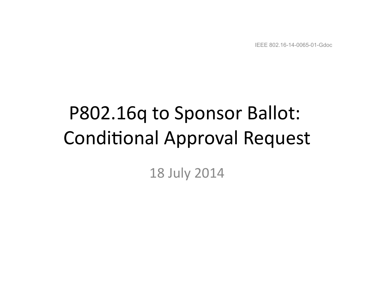IEEE 802.16-14-0065-01-Gdoc

# P802.16q to Sponsor Ballot: **Conditional Approval Request**

#### 18 July 2014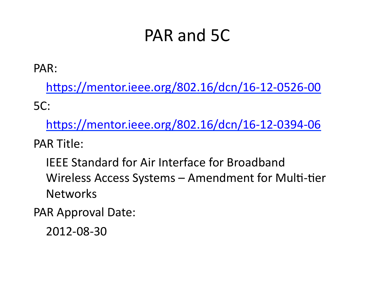#### PAR and 5C

PAR: 

https://mentor.ieee.org/802.16/dcn/16-12-0526-00 5C: 

https://mentor.ieee.org/802.16/dcn/16-12-0394-06

PAR Title:

IEEE Standard for Air Interface for Broadband Wireless Access Systems – Amendment for Multi-tier Networks 

PAR Approval Date:

2012-08-30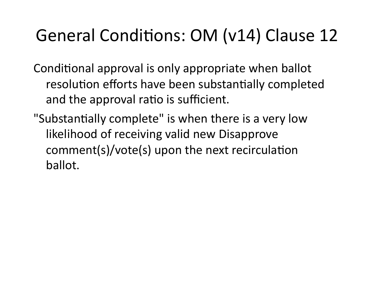#### General Conditions: OM (v14) Clause 12

Conditional approval is only appropriate when ballot resolution efforts have been substantially completed and the approval ratio is sufficient.

"Substantially complete" is when there is a very low likelihood of receiving valid new Disapprove comment(s)/vote(s) upon the next recirculation ballot.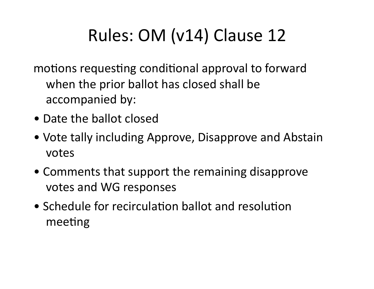### Rules: OM (v14) Clause 12

motions requesting conditional approval to forward when the prior ballot has closed shall be accompanied by:

- Date the ballot closed
- Vote tally including Approve, Disapprove and Abstain votes
- Comments that support the remaining disapprove votes and WG responses
- Schedule for recirculation ballot and resolution meeting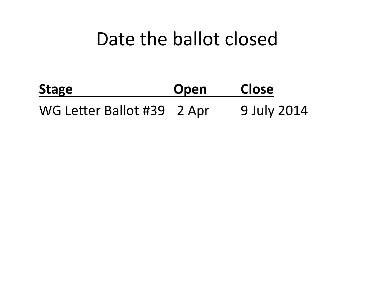#### Date the ballot closed

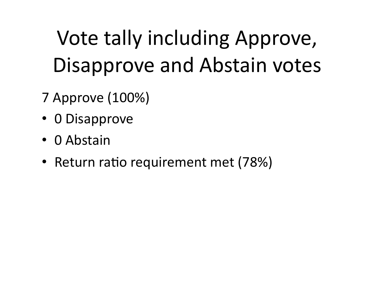## Vote tally including Approve, Disapprove and Abstain votes

- 7 Approve (100%)
- 0 Disapprove
- 0 Abstain
- Return ratio requirement met (78%)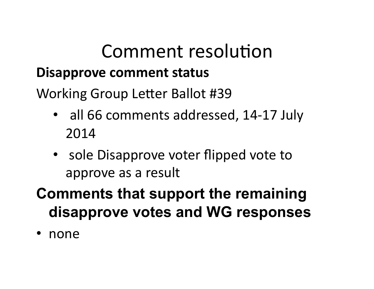#### Comment resolution

#### **Disapprove comment status**

Working Group Letter Ballot #39

- all 66 comments addressed, 14-17 July 2014
- sole Disapprove voter flipped vote to approve as a result

#### **Comments that support the remaining disapprove votes and WG responses**

• none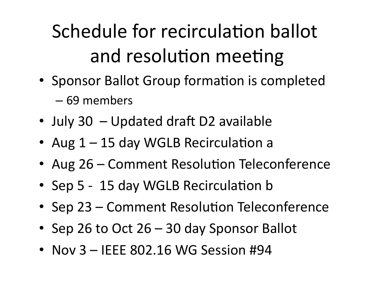## Schedule for recirculation ballot and resolution meeting

- Sponsor Ballot Group formation is completed
	- 69 members
- July 30  $-$  Updated draft D2 available
- Aug  $1 15$  day WGLB Recirculation a
- Aug 26 Comment Resolution Teleconference
- Sep 5 15 day WGLB Recirculation b
- Sep 23 Comment Resolution Teleconference
- Sep 26 to Oct 26 30 day Sponsor Ballot
- Nov  $3 -$  IEEE 802.16 WG Session #94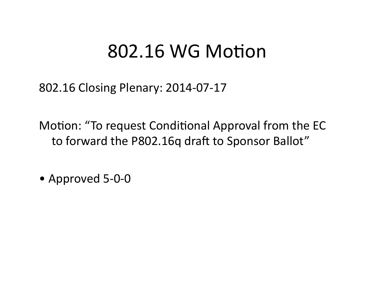#### 802.16 WG Motion

802.16 Closing Plenary: 2014-07-17

Motion: "To request Conditional Approval from the EC to forward the P802.16q draft to Sponsor Ballot"

• Approved 5-0-0